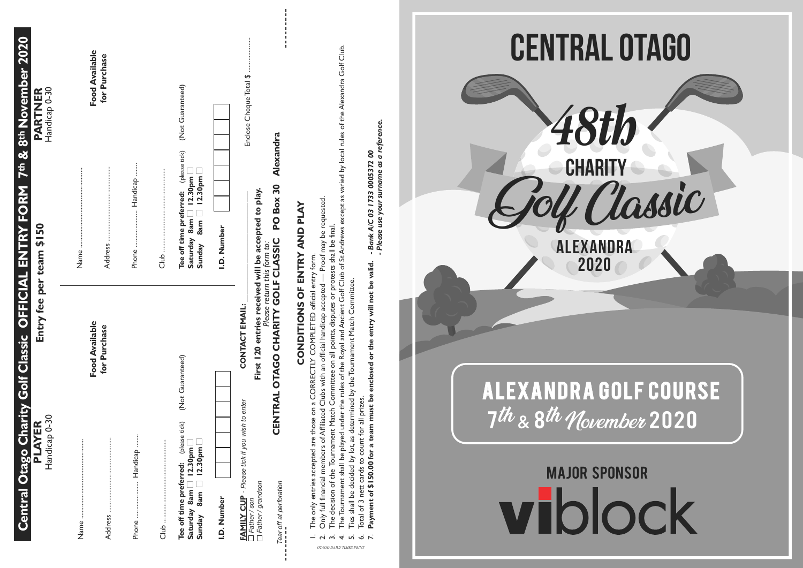| 8th November 2020<br>PARTNER<br>Handicap 0-30<br>7th &<br>harity Golf Classic OFFICIAL ENTRY FORM<br>Entry fee per team \$150<br>ER <sub>30</sub><br>Handicap<br><b>Central Otago CI</b><br><b>PLAY</b> | Food Available<br>for Purchase<br>Handicap<br>Address<br>Phone.<br>Name     | Enclose Cheque Total \$<br>(Not Guaranteed)<br>Alexandra<br>$\begin{array}{c} \text{(phase tick)} \\ \text{om } \square \\ \text{om } \square \end{array}$<br>130 pm<br>PO Box 30<br>will be accepted to play.<br>Tee off time preferred:<br>$\overline{5}$ $\overline{9}$<br>$\Box$<br>8am<br>8am<br>I.D. Number<br>Saturday<br>Sunday<br>dub                                                  | under the rules of the Royal and Ancient Golf Club of St Andrews except as varied by local rules of the Alexandra Golf Club.<br>a reference.<br>oo<br>- Bank A/C 03 1733 0005372<br>- Please use your surname as<br>ed — Proof may be requested<br>protests shall be final.<br>CONDITIONS OF ENTRY AND PLAY<br>form.<br>Payment of \$150.00 for a team must be enclosed or the entry will not be valid.<br>CORRECTLY COMPLETED official entry<br>determined by the Tournament Match Committee.<br>accepted<br>disputes<br>handicap<br>all points,<br>official<br>δ<br>Committee<br>Clubs with<br>for all prizes.<br>δ<br>The decision of the Tournament Match<br>Affiliated<br>those<br>The Tournament shall be played<br>Ties shall be decided by lot, as<br>Only full financial members of<br>Total of 3 nett cards to count<br>entries accepted are<br>only<br>The<br>$ \sim$ $\sim$ $+$ $\sim$ $\sim$ $\sim$<br>OTAGO DAILY TIMES PRINT | CENTRAL OTAGO<br><b>CHARITY</b><br>l Classic<br><b>EXANDRA</b><br>2020<br><b>ALEXANDRA GOLF COURSE</b><br>7th & 8th November 2020<br><b>MAJOR SPONSOR</b><br>viblock |
|---------------------------------------------------------------------------------------------------------------------------------------------------------------------------------------------------------|-----------------------------------------------------------------------------|-------------------------------------------------------------------------------------------------------------------------------------------------------------------------------------------------------------------------------------------------------------------------------------------------------------------------------------------------------------------------------------------------|---------------------------------------------------------------------------------------------------------------------------------------------------------------------------------------------------------------------------------------------------------------------------------------------------------------------------------------------------------------------------------------------------------------------------------------------------------------------------------------------------------------------------------------------------------------------------------------------------------------------------------------------------------------------------------------------------------------------------------------------------------------------------------------------------------------------------------------------------------------------------------------------------------------------------------------------|----------------------------------------------------------------------------------------------------------------------------------------------------------------------|
|                                                                                                                                                                                                         | Food Available<br>for Purchase<br>Handicap<br>∷<br>Address<br>Phone<br>Name | Please return this form to:<br>OTAGO CHARITY GOLF CLASSIC<br>First 120 entries received<br>CONTACT EMAIL:<br>(Not Guaranteed)<br>CENTRAL<br>wish to enter<br>tick)<br>Tee off time preferred: (please<br>Saturday 8am □ 12.30pm □<br>Sunday 8am □ 12.30pm □<br><b>FAMILY CUP</b> - Please tick if you<br>□ Father / son<br>□ Father / grandson<br>Tear off at perforation<br>I.D. Number<br>dub |                                                                                                                                                                                                                                                                                                                                                                                                                                                                                                                                                                                                                                                                                                                                                                                                                                                                                                                                             |                                                                                                                                                                      |